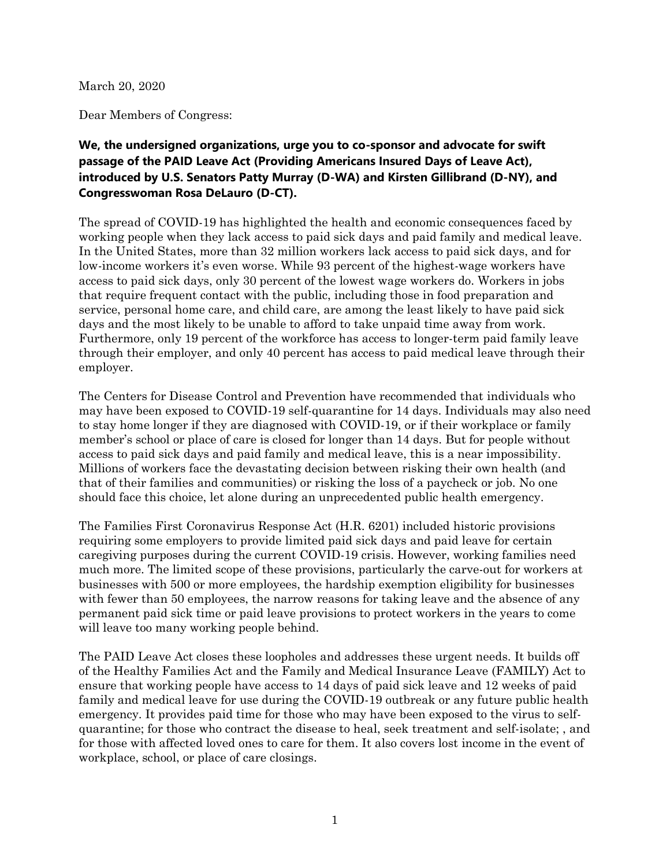March 20, 2020

Dear Members of Congress:

## **We, the undersigned organizations, urge you to co-sponsor and advocate for swift passage of the PAID Leave Act (Providing Americans Insured Days of Leave Act), introduced by U.S. Senators Patty Murray (D-WA) and Kirsten Gillibrand (D-NY), and Congresswoman Rosa DeLauro (D-CT).**

The spread of COVID-19 has highlighted the health and economic consequences faced by working people when they lack access to paid sick days and paid family and medical leave. In the United States, more than 32 million workers lack access to paid sick days, and for low-income workers it's even worse. While 93 percent of the highest-wage workers have access to paid sick days, only 30 percent of the lowest wage workers do. Workers in jobs that require frequent contact with the public, including those in food preparation and service, personal home care, and child care, are among the least likely to have paid sick days and the most likely to be unable to afford to take unpaid time away from work. Furthermore, only 19 percent of the workforce has access to longer-term paid family leave through their employer, and only 40 percent has access to paid medical leave through their employer.

The Centers for Disease Control and Prevention have recommended that individuals who may have been exposed to COVID-19 self-quarantine for 14 days. Individuals may also need to stay home longer if they are diagnosed with COVID-19, or if their workplace or family member's school or place of care is closed for longer than 14 days. But for people without access to paid sick days and paid family and medical leave, this is a near impossibility. Millions of workers face the devastating decision between risking their own health (and that of their families and communities) or risking the loss of a paycheck or job. No one should face this choice, let alone during an unprecedented public health emergency.

The Families First Coronavirus Response Act (H.R. 6201) included historic provisions requiring some employers to provide limited paid sick days and paid leave for certain caregiving purposes during the current COVID-19 crisis. However, working families need much more. The limited scope of these provisions, particularly the carve-out for workers at businesses with 500 or more employees, the hardship exemption eligibility for businesses with fewer than 50 employees, the narrow reasons for taking leave and the absence of any permanent paid sick time or paid leave provisions to protect workers in the years to come will leave too many working people behind.

The PAID Leave Act closes these loopholes and addresses these urgent needs. It builds off of the Healthy Families Act and the Family and Medical Insurance Leave (FAMILY) Act to ensure that working people have access to 14 days of paid sick leave and 12 weeks of paid family and medical leave for use during the COVID-19 outbreak or any future public health emergency. It provides paid time for those who may have been exposed to the virus to selfquarantine; for those who contract the disease to heal, seek treatment and self-isolate; , and for those with affected loved ones to care for them. It also covers lost income in the event of workplace, school, or place of care closings.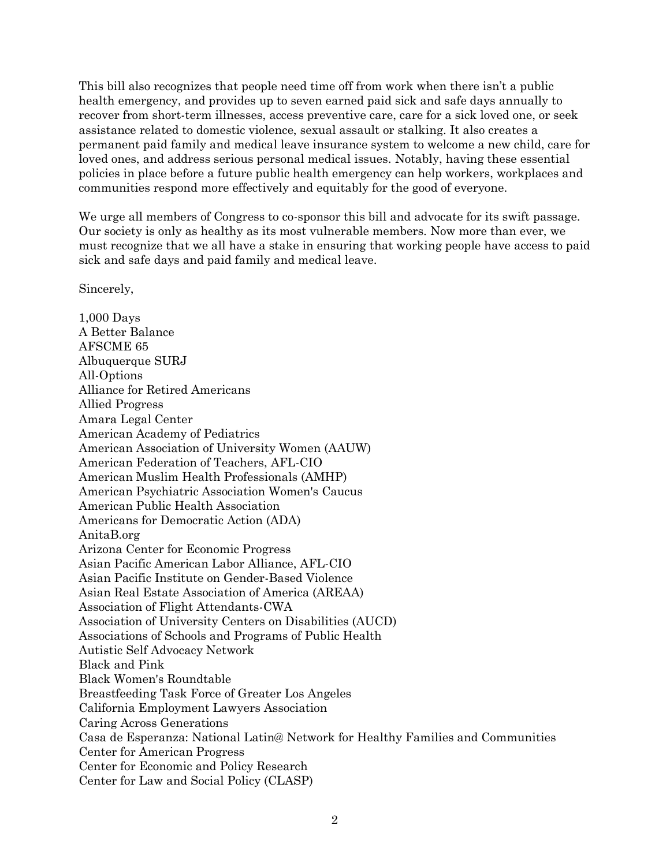This bill also recognizes that people need time off from work when there isn't a public health emergency, and provides up to seven earned paid sick and safe days annually to recover from short-term illnesses, access preventive care, care for a sick loved one, or seek assistance related to domestic violence, sexual assault or stalking. It also creates a permanent paid family and medical leave insurance system to welcome a new child, care for loved ones, and address serious personal medical issues. Notably, having these essential policies in place before a future public health emergency can help workers, workplaces and communities respond more effectively and equitably for the good of everyone.

We urge all members of Congress to co-sponsor this bill and advocate for its swift passage. Our society is only as healthy as its most vulnerable members. Now more than ever, we must recognize that we all have a stake in ensuring that working people have access to paid sick and safe days and paid family and medical leave.

Sincerely,

1,000 Days A Better Balance AFSCME 65 Albuquerque SURJ All-Options Alliance for Retired Americans Allied Progress Amara Legal Center American Academy of Pediatrics American Association of University Women (AAUW) American Federation of Teachers, AFL-CIO American Muslim Health Professionals (AMHP) American Psychiatric Association Women's Caucus American Public Health Association Americans for Democratic Action (ADA) AnitaB.org Arizona Center for Economic Progress Asian Pacific American Labor Alliance, AFL-CIO Asian Pacific Institute on Gender-Based Violence Asian Real Estate Association of America (AREAA) Association of Flight Attendants-CWA Association of University Centers on Disabilities (AUCD) Associations of Schools and Programs of Public Health Autistic Self Advocacy Network Black and Pink Black Women's Roundtable Breastfeeding Task Force of Greater Los Angeles California Employment Lawyers Association Caring Across Generations Casa de Esperanza: National Latin@ Network for Healthy Families and Communities Center for American Progress Center for Economic and Policy Research Center for Law and Social Policy (CLASP)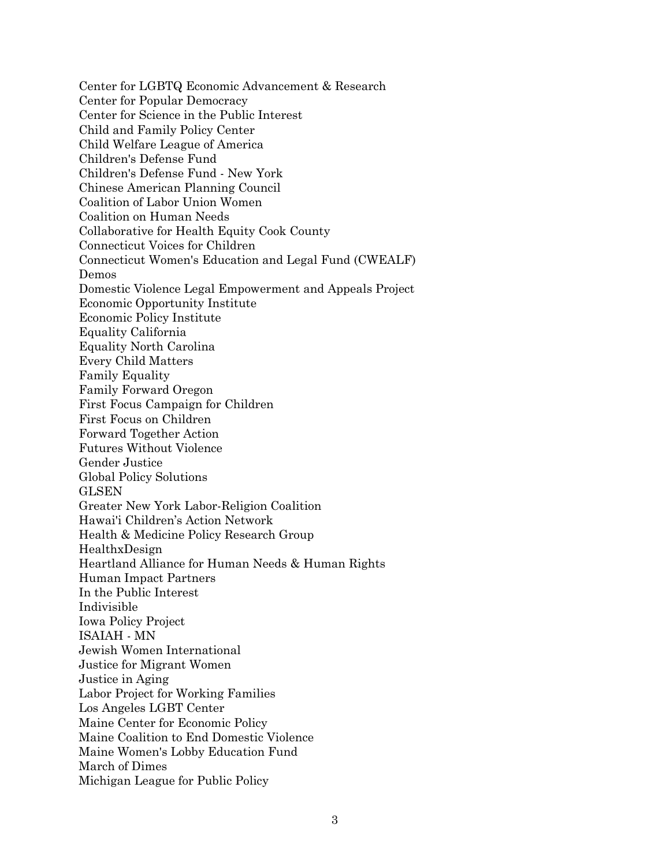Center for LGBTQ Economic Advancement & Research Center for Popular Democracy Center for Science in the Public Interest Child and Family Policy Center Child Welfare League of America Children's Defense Fund Children's Defense Fund - New York Chinese American Planning Council Coalition of Labor Union Women Coalition on Human Needs Collaborative for Health Equity Cook County Connecticut Voices for Children Connecticut Women's Education and Legal Fund (CWEALF) Demos Domestic Violence Legal Empowerment and Appeals Project Economic Opportunity Institute Economic Policy Institute Equality California Equality North Carolina Every Child Matters Family Equality Family Forward Oregon First Focus Campaign for Children First Focus on Children Forward Together Action Futures Without Violence Gender Justice Global Policy Solutions GLSEN Greater New York Labor-Religion Coalition Hawai'i Children's Action Network Health & Medicine Policy Research Group HealthxDesign Heartland Alliance for Human Needs & Human Rights Human Impact Partners In the Public Interest Indivisible Iowa Policy Project ISAIAH - MN Jewish Women International Justice for Migrant Women Justice in Aging Labor Project for Working Families Los Angeles LGBT Center Maine Center for Economic Policy Maine Coalition to End Domestic Violence Maine Women's Lobby Education Fund March of Dimes Michigan League for Public Policy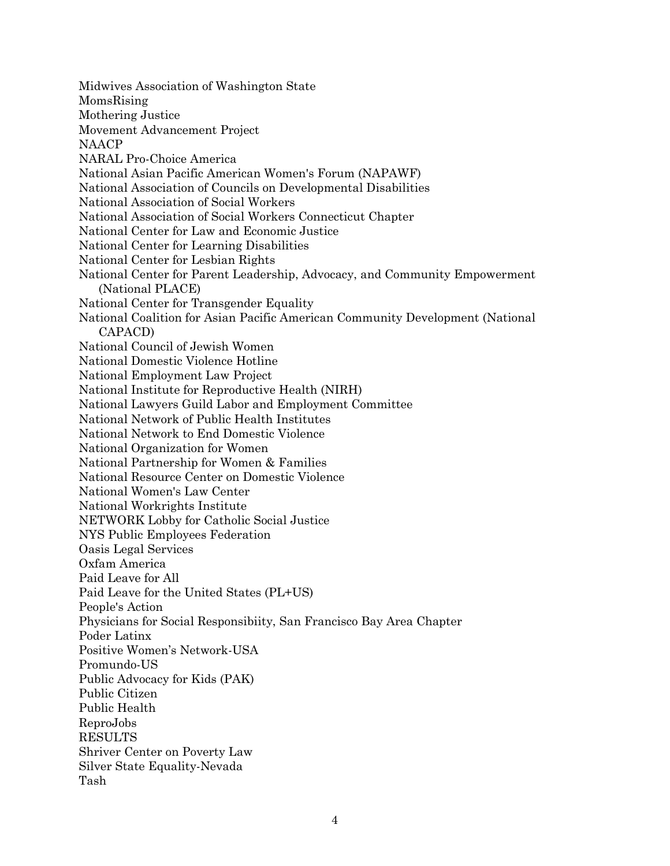Midwives Association of Washington State MomsRising Mothering Justice Movement Advancement Project NAACP NARAL Pro-Choice America National Asian Pacific American Women's Forum (NAPAWF) National Association of Councils on Developmental Disabilities National Association of Social Workers National Association of Social Workers Connecticut Chapter National Center for Law and Economic Justice National Center for Learning Disabilities National Center for Lesbian Rights National Center for Parent Leadership, Advocacy, and Community Empowerment (National PLACE) National Center for Transgender Equality National Coalition for Asian Pacific American Community Development (National CAPACD) National Council of Jewish Women National Domestic Violence Hotline National Employment Law Project National Institute for Reproductive Health (NIRH) National Lawyers Guild Labor and Employment Committee National Network of Public Health Institutes National Network to End Domestic Violence National Organization for Women National Partnership for Women & Families National Resource Center on Domestic Violence National Women's Law Center National Workrights Institute NETWORK Lobby for Catholic Social Justice NYS Public Employees Federation Oasis Legal Services Oxfam America Paid Leave for All Paid Leave for the United States (PL+US) People's Action Physicians for Social Responsibiity, San Francisco Bay Area Chapter Poder Latinx Positive Women's Network-USA Promundo-US Public Advocacy for Kids (PAK) Public Citizen Public Health ReproJobs RESULTS Shriver Center on Poverty Law Silver State Equality-Nevada Tash